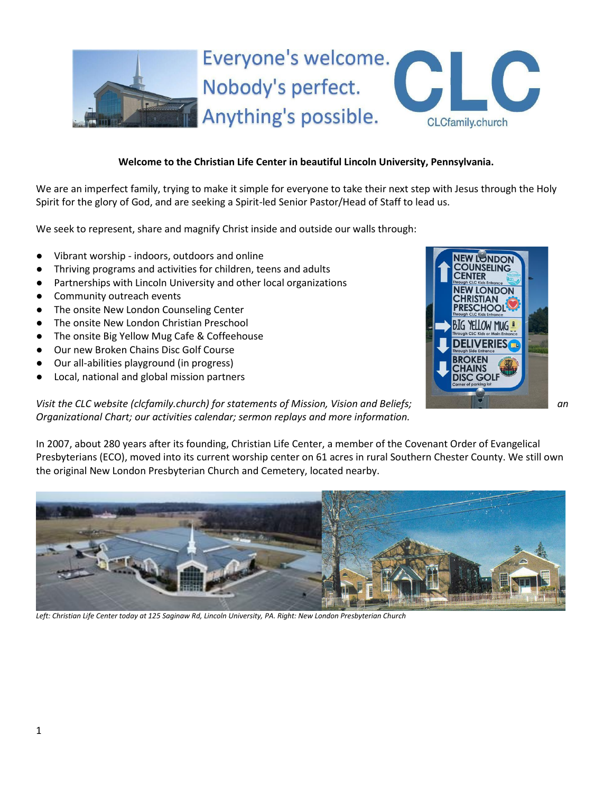

# **Welcome to the Christian Life Center in beautiful Lincoln University, Pennsylvania.**

We are an imperfect family, trying to make it simple for everyone to take their next step with Jesus through the Holy Spirit for the glory of God, and are seeking a Spirit-led Senior Pastor/Head of Staff to lead us.

We seek to represent, share and magnify Christ inside and outside our walls through:

- Vibrant worship indoors, outdoors and online
- Thriving programs and activities for children, teens and adults
- Partnerships with Lincoln University and other local organizations
- Community outreach events
- The onsite New London Counseling Center
- The onsite New London Christian Preschool
- The onsite Big Yellow Mug Cafe & Coffeehouse
- Our new Broken Chains Disc Golf Course
- Our all-abilities playground (in progress)
- Local, national and global mission partners



*Visit the CLC website (clcfamily.church) for statements of Mission, Vision and Beliefs;* **an** *negligible and an Organizational Chart; our activities calendar; sermon replays and more information.*

In 2007, about 280 years after its founding, Christian Life Center, a member of the Covenant Order of Evangelical Presbyterians (ECO), moved into its current worship center on 61 acres in rural Southern Chester County. We still own the original New London Presbyterian Church and Cemetery, located nearby.



*Left: Christian Life Center today at 125 Saginaw Rd, Lincoln University, PA. Right: New London Presbyterian Church*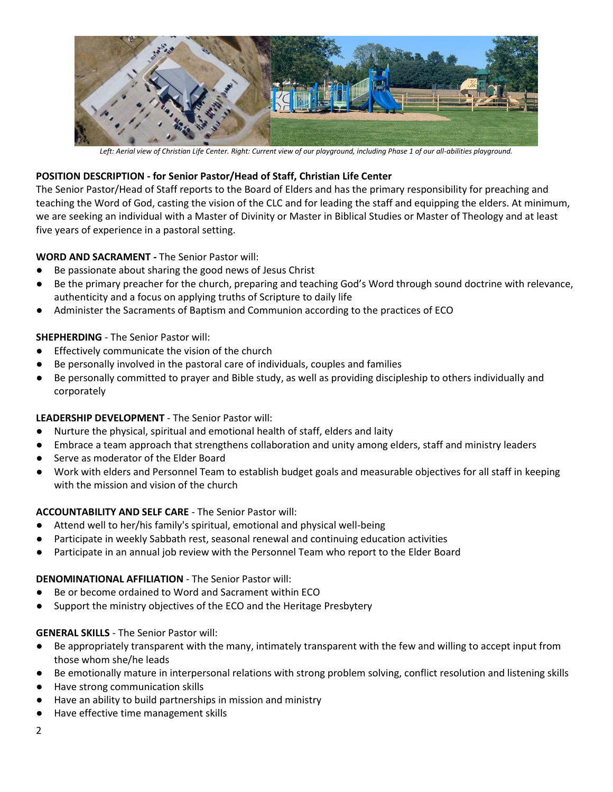

*Left: Aerial view of Christian Life Center. Right: Current view of our playground, including Phase 1 of our all-abilities playground.*

## **POSITION DESCRIPTION - for Senior Pastor/Head of Staff, Christian Life Center**

The Senior Pastor/Head of Staff reports to the Board of Elders and has the primary responsibility for preaching and teaching the Word of God, casting the vision of the CLC and for leading the staff and equipping the elders. At minimum, we are seeking an individual with a Master of Divinity or Master in Biblical Studies or Master of Theology and at least five years of experience in a pastoral setting.

## **WORD AND SACRAMENT -** The Senior Pastor will:

- Be passionate about sharing the good news of Jesus Christ
- Be the primary preacher for the church, preparing and teaching God's Word through sound doctrine with relevance, authenticity and a focus on applying truths of Scripture to daily life
- Administer the Sacraments of Baptism and Communion according to the practices of ECO

## **SHEPHERDING** - The Senior Pastor will:

- Effectively communicate the vision of the church
- Be personally involved in the pastoral care of individuals, couples and families
- Be personally committed to prayer and Bible study, as well as providing discipleship to others individually and corporately

#### **LEADERSHIP DEVELOPMENT** - The Senior Pastor will:

- Nurture the physical, spiritual and emotional health of staff, elders and laity
- Embrace a team approach that strengthens collaboration and unity among elders, staff and ministry leaders
- Serve as moderator of the Elder Board
- Work with elders and Personnel Team to establish budget goals and measurable objectives for all staff in keeping with the mission and vision of the church

## **ACCOUNTABILITY AND SELF CARE** - The Senior Pastor will:

- Attend well to her/his family's spiritual, emotional and physical well-being
- Participate in weekly Sabbath rest, seasonal renewal and continuing education activities
- Participate in an annual job review with the Personnel Team who report to the Elder Board

#### **DENOMINATIONAL AFFILIATION** - The Senior Pastor will:

- Be or become ordained to Word and Sacrament within ECO
- Support the ministry objectives of the ECO and the Heritage Presbytery

#### **GENERAL SKILLS** - The Senior Pastor will:

- Be appropriately transparent with the many, intimately transparent with the few and willing to accept input from those whom she/he leads
- Be emotionally mature in interpersonal relations with strong problem solving, conflict resolution and listening skills
- Have strong communication skills
- Have an ability to build partnerships in mission and ministry
- Have effective time management skills